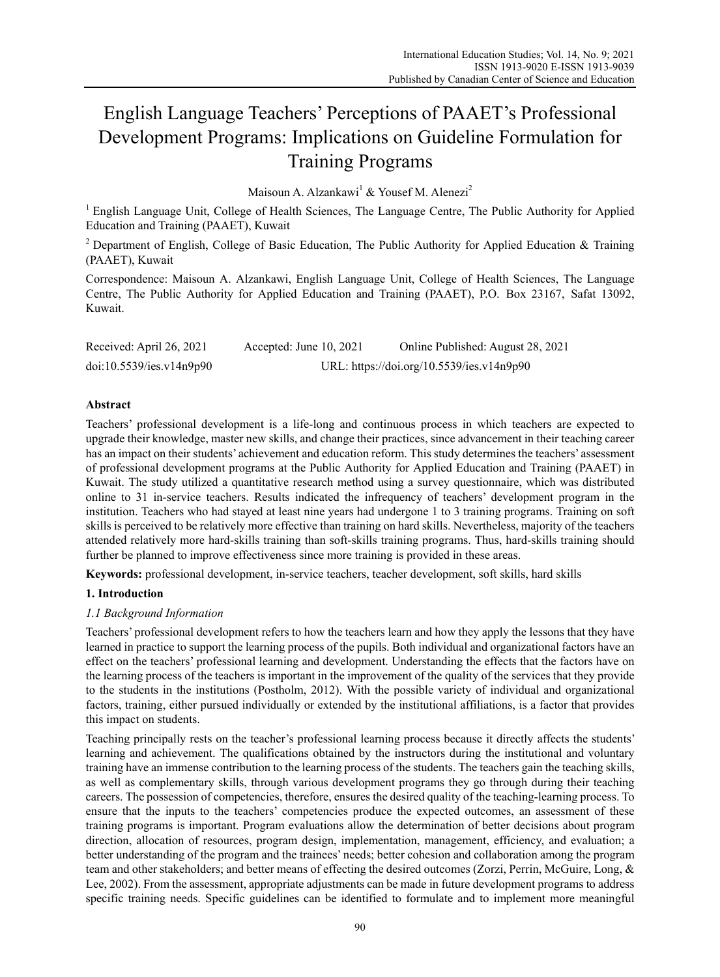# English Language Teachers' Perceptions of PAAET's Professional Development Programs: Implications on Guideline Formulation for Training Programs

Maisoun A. Alzankawi $^1$  & Yousef M. Alenezi<sup>2</sup>

<sup>1</sup> English Language Unit, College of Health Sciences, The Language Centre, The Public Authority for Applied Education and Training (PAAET), Kuwait

<sup>2</sup> Department of English, College of Basic Education, The Public Authority for Applied Education & Training (PAAET), Kuwait

Correspondence: Maisoun A. Alzankawi, English Language Unit, College of Health Sciences, The Language Centre, The Public Authority for Applied Education and Training (PAAET), P.O. Box 23167, Safat 13092, Kuwait.

| Received: April 26, 2021 | Accepted: June $10, 2021$ | Online Published: August 28, 2021         |
|--------------------------|---------------------------|-------------------------------------------|
| doi:10.5539/ies.v14n9p90 |                           | URL: https://doi.org/10.5539/ies.v14n9p90 |

## **Abstract**

Teachers' professional development is a life-long and continuous process in which teachers are expected to upgrade their knowledge, master new skills, and change their practices, since advancement in their teaching career has an impact on their students' achievement and education reform. This study determines the teachers' assessment of professional development programs at the Public Authority for Applied Education and Training (PAAET) in Kuwait. The study utilized a quantitative research method using a survey questionnaire, which was distributed online to 31 in-service teachers. Results indicated the infrequency of teachers' development program in the institution. Teachers who had stayed at least nine years had undergone 1 to 3 training programs. Training on soft skills is perceived to be relatively more effective than training on hard skills. Nevertheless, majority of the teachers attended relatively more hard-skills training than soft-skills training programs. Thus, hard-skills training should further be planned to improve effectiveness since more training is provided in these areas.

**Keywords:** professional development, in-service teachers, teacher development, soft skills, hard skills

## **1. Introduction**

## *1.1 Background Information*

Teachers' professional development refers to how the teachers learn and how they apply the lessons that they have learned in practice to support the learning process of the pupils. Both individual and organizational factors have an effect on the teachers' professional learning and development. Understanding the effects that the factors have on the learning process of the teachers is important in the improvement of the quality of the services that they provide to the students in the institutions (Postholm, 2012). With the possible variety of individual and organizational factors, training, either pursued individually or extended by the institutional affiliations, is a factor that provides this impact on students.

Teaching principally rests on the teacher's professional learning process because it directly affects the students' learning and achievement. The qualifications obtained by the instructors during the institutional and voluntary training have an immense contribution to the learning process of the students. The teachers gain the teaching skills, as well as complementary skills, through various development programs they go through during their teaching careers. The possession of competencies, therefore, ensures the desired quality of the teaching-learning process. To ensure that the inputs to the teachers' competencies produce the expected outcomes, an assessment of these training programs is important. Program evaluations allow the determination of better decisions about program direction, allocation of resources, program design, implementation, management, efficiency, and evaluation; a better understanding of the program and the trainees' needs; better cohesion and collaboration among the program team and other stakeholders; and better means of effecting the desired outcomes (Zorzi, Perrin, McGuire, Long, & Lee, 2002). From the assessment, appropriate adjustments can be made in future development programs to address specific training needs. Specific guidelines can be identified to formulate and to implement more meaningful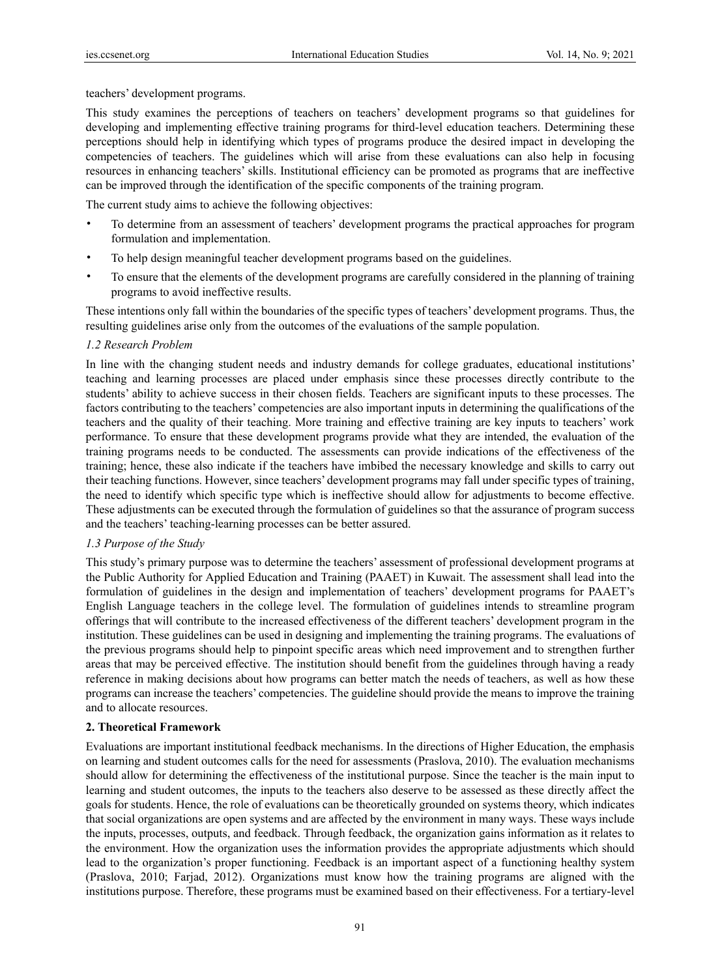teachers' development programs.

This study examines the perceptions of teachers on teachers' development programs so that guidelines for developing and implementing effective training programs for third-level education teachers. Determining these perceptions should help in identifying which types of programs produce the desired impact in developing the competencies of teachers. The guidelines which will arise from these evaluations can also help in focusing resources in enhancing teachers' skills. Institutional efficiency can be promoted as programs that are ineffective can be improved through the identification of the specific components of the training program.

The current study aims to achieve the following objectives:

- To determine from an assessment of teachers' development programs the practical approaches for program formulation and implementation.
- To help design meaningful teacher development programs based on the guidelines.
- To ensure that the elements of the development programs are carefully considered in the planning of training programs to avoid ineffective results.

These intentions only fall within the boundaries of the specific types of teachers' development programs. Thus, the resulting guidelines arise only from the outcomes of the evaluations of the sample population.

#### *1.2 Research Problem*

In line with the changing student needs and industry demands for college graduates, educational institutions' teaching and learning processes are placed under emphasis since these processes directly contribute to the students' ability to achieve success in their chosen fields. Teachers are significant inputs to these processes. The factors contributing to the teachers' competencies are also important inputs in determining the qualifications of the teachers and the quality of their teaching. More training and effective training are key inputs to teachers' work performance. To ensure that these development programs provide what they are intended, the evaluation of the training programs needs to be conducted. The assessments can provide indications of the effectiveness of the training; hence, these also indicate if the teachers have imbibed the necessary knowledge and skills to carry out their teaching functions. However, since teachers' development programs may fall under specific types of training, the need to identify which specific type which is ineffective should allow for adjustments to become effective. These adjustments can be executed through the formulation of guidelines so that the assurance of program success and the teachers' teaching-learning processes can be better assured.

## *1.3 Purpose of the Study*

This study's primary purpose was to determine the teachers' assessment of professional development programs at the Public Authority for Applied Education and Training (PAAET) in Kuwait. The assessment shall lead into the formulation of guidelines in the design and implementation of teachers' development programs for PAAET's English Language teachers in the college level. The formulation of guidelines intends to streamline program offerings that will contribute to the increased effectiveness of the different teachers' development program in the institution. These guidelines can be used in designing and implementing the training programs. The evaluations of the previous programs should help to pinpoint specific areas which need improvement and to strengthen further areas that may be perceived effective. The institution should benefit from the guidelines through having a ready reference in making decisions about how programs can better match the needs of teachers, as well as how these programs can increase the teachers' competencies. The guideline should provide the means to improve the training and to allocate resources.

#### **2. Theoretical Framework**

Evaluations are important institutional feedback mechanisms. In the directions of Higher Education, the emphasis on learning and student outcomes calls for the need for assessments (Praslova, 2010). The evaluation mechanisms should allow for determining the effectiveness of the institutional purpose. Since the teacher is the main input to learning and student outcomes, the inputs to the teachers also deserve to be assessed as these directly affect the goals for students. Hence, the role of evaluations can be theoretically grounded on systems theory, which indicates that social organizations are open systems and are affected by the environment in many ways. These ways include the inputs, processes, outputs, and feedback. Through feedback, the organization gains information as it relates to the environment. How the organization uses the information provides the appropriate adjustments which should lead to the organization's proper functioning. Feedback is an important aspect of a functioning healthy system (Praslova, 2010; Farjad, 2012). Organizations must know how the training programs are aligned with the institutions purpose. Therefore, these programs must be examined based on their effectiveness. For a tertiary-level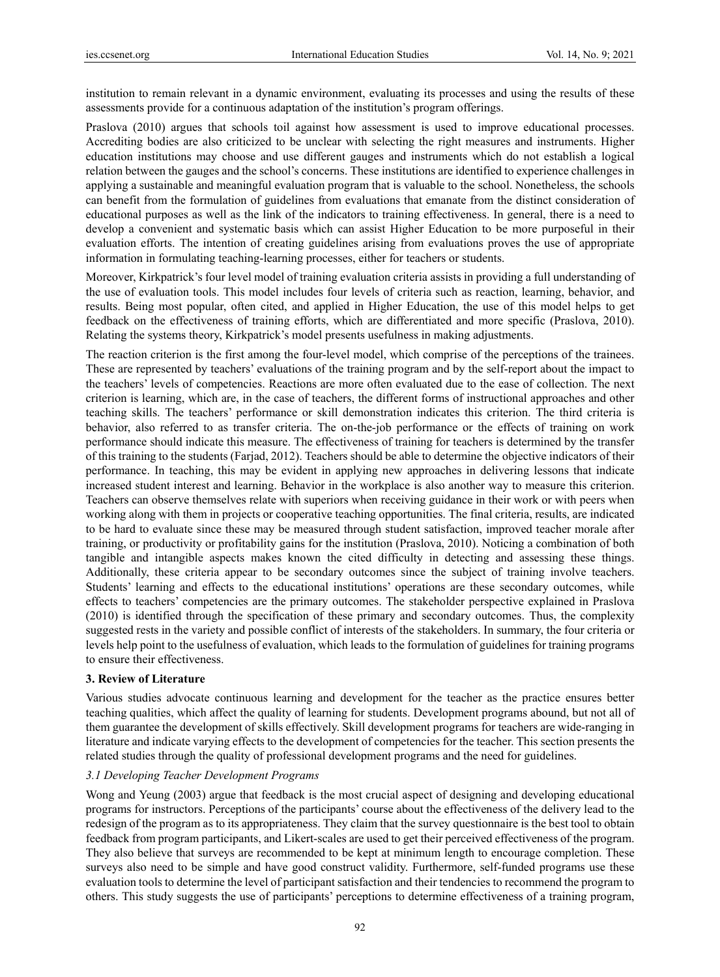institution to remain relevant in a dynamic environment, evaluating its processes and using the results of these assessments provide for a continuous adaptation of the institution's program offerings.

Praslova (2010) argues that schools toil against how assessment is used to improve educational processes. Accrediting bodies are also criticized to be unclear with selecting the right measures and instruments. Higher education institutions may choose and use different gauges and instruments which do not establish a logical relation between the gauges and the school's concerns. These institutions are identified to experience challenges in applying a sustainable and meaningful evaluation program that is valuable to the school. Nonetheless, the schools can benefit from the formulation of guidelines from evaluations that emanate from the distinct consideration of educational purposes as well as the link of the indicators to training effectiveness. In general, there is a need to develop a convenient and systematic basis which can assist Higher Education to be more purposeful in their evaluation efforts. The intention of creating guidelines arising from evaluations proves the use of appropriate information in formulating teaching-learning processes, either for teachers or students.

Moreover, Kirkpatrick's four level model of training evaluation criteria assists in providing a full understanding of the use of evaluation tools. This model includes four levels of criteria such as reaction, learning, behavior, and results. Being most popular, often cited, and applied in Higher Education, the use of this model helps to get feedback on the effectiveness of training efforts, which are differentiated and more specific (Praslova, 2010). Relating the systems theory, Kirkpatrick's model presents usefulness in making adjustments.

The reaction criterion is the first among the four-level model, which comprise of the perceptions of the trainees. These are represented by teachers' evaluations of the training program and by the self-report about the impact to the teachers' levels of competencies. Reactions are more often evaluated due to the ease of collection. The next criterion is learning, which are, in the case of teachers, the different forms of instructional approaches and other teaching skills. The teachers' performance or skill demonstration indicates this criterion. The third criteria is behavior, also referred to as transfer criteria. The on-the-job performance or the effects of training on work performance should indicate this measure. The effectiveness of training for teachers is determined by the transfer of this training to the students (Farjad, 2012). Teachers should be able to determine the objective indicators of their performance. In teaching, this may be evident in applying new approaches in delivering lessons that indicate increased student interest and learning. Behavior in the workplace is also another way to measure this criterion. Teachers can observe themselves relate with superiors when receiving guidance in their work or with peers when working along with them in projects or cooperative teaching opportunities. The final criteria, results, are indicated to be hard to evaluate since these may be measured through student satisfaction, improved teacher morale after training, or productivity or profitability gains for the institution (Praslova, 2010). Noticing a combination of both tangible and intangible aspects makes known the cited difficulty in detecting and assessing these things. Additionally, these criteria appear to be secondary outcomes since the subject of training involve teachers. Students' learning and effects to the educational institutions' operations are these secondary outcomes, while effects to teachers' competencies are the primary outcomes. The stakeholder perspective explained in Praslova (2010) is identified through the specification of these primary and secondary outcomes. Thus, the complexity suggested rests in the variety and possible conflict of interests of the stakeholders. In summary, the four criteria or levels help point to the usefulness of evaluation, which leads to the formulation of guidelines for training programs to ensure their effectiveness.

## **3. Review of Literature**

Various studies advocate continuous learning and development for the teacher as the practice ensures better teaching qualities, which affect the quality of learning for students. Development programs abound, but not all of them guarantee the development of skills effectively. Skill development programs for teachers are wide-ranging in literature and indicate varying effects to the development of competencies for the teacher. This section presents the related studies through the quality of professional development programs and the need for guidelines.

## *3.1 Developing Teacher Development Programs*

Wong and Yeung (2003) argue that feedback is the most crucial aspect of designing and developing educational programs for instructors. Perceptions of the participants' course about the effectiveness of the delivery lead to the redesign of the program as to its appropriateness. They claim that the survey questionnaire is the best tool to obtain feedback from program participants, and Likert-scales are used to get their perceived effectiveness of the program. They also believe that surveys are recommended to be kept at minimum length to encourage completion. These surveys also need to be simple and have good construct validity. Furthermore, self-funded programs use these evaluation tools to determine the level of participant satisfaction and their tendencies to recommend the program to others. This study suggests the use of participants' perceptions to determine effectiveness of a training program,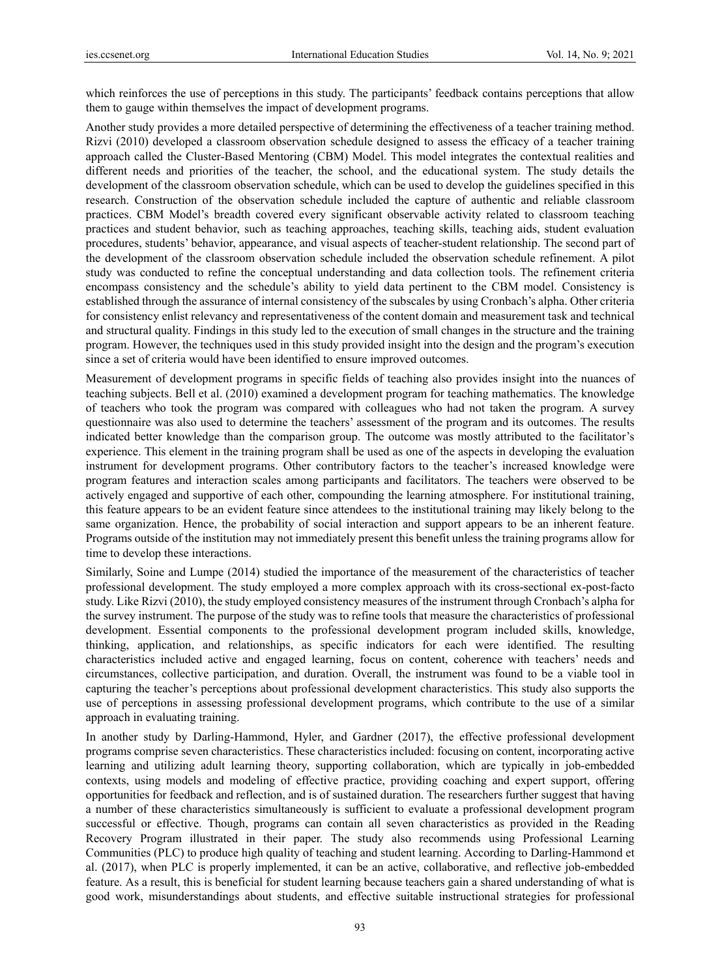which reinforces the use of perceptions in this study. The participants' feedback contains perceptions that allow them to gauge within themselves the impact of development programs.

Another study provides a more detailed perspective of determining the effectiveness of a teacher training method. Rizvi (2010) developed a classroom observation schedule designed to assess the efficacy of a teacher training approach called the Cluster-Based Mentoring (CBM) Model. This model integrates the contextual realities and different needs and priorities of the teacher, the school, and the educational system. The study details the development of the classroom observation schedule, which can be used to develop the guidelines specified in this research. Construction of the observation schedule included the capture of authentic and reliable classroom practices. CBM Model's breadth covered every significant observable activity related to classroom teaching practices and student behavior, such as teaching approaches, teaching skills, teaching aids, student evaluation procedures, students' behavior, appearance, and visual aspects of teacher-student relationship. The second part of the development of the classroom observation schedule included the observation schedule refinement. A pilot study was conducted to refine the conceptual understanding and data collection tools. The refinement criteria encompass consistency and the schedule's ability to yield data pertinent to the CBM model. Consistency is established through the assurance of internal consistency of the subscales by using Cronbach's alpha. Other criteria for consistency enlist relevancy and representativeness of the content domain and measurement task and technical and structural quality. Findings in this study led to the execution of small changes in the structure and the training program. However, the techniques used in this study provided insight into the design and the program's execution since a set of criteria would have been identified to ensure improved outcomes.

Measurement of development programs in specific fields of teaching also provides insight into the nuances of teaching subjects. Bell et al. (2010) examined a development program for teaching mathematics. The knowledge of teachers who took the program was compared with colleagues who had not taken the program. A survey questionnaire was also used to determine the teachers' assessment of the program and its outcomes. The results indicated better knowledge than the comparison group. The outcome was mostly attributed to the facilitator's experience. This element in the training program shall be used as one of the aspects in developing the evaluation instrument for development programs. Other contributory factors to the teacher's increased knowledge were program features and interaction scales among participants and facilitators. The teachers were observed to be actively engaged and supportive of each other, compounding the learning atmosphere. For institutional training, this feature appears to be an evident feature since attendees to the institutional training may likely belong to the same organization. Hence, the probability of social interaction and support appears to be an inherent feature. Programs outside of the institution may not immediately present this benefit unless the training programs allow for time to develop these interactions.

Similarly, Soine and Lumpe (2014) studied the importance of the measurement of the characteristics of teacher professional development. The study employed a more complex approach with its cross-sectional ex-post-facto study. Like Rizvi (2010), the study employed consistency measures of the instrument through Cronbach's alpha for the survey instrument. The purpose of the study was to refine tools that measure the characteristics of professional development. Essential components to the professional development program included skills, knowledge, thinking, application, and relationships, as specific indicators for each were identified. The resulting characteristics included active and engaged learning, focus on content, coherence with teachers' needs and circumstances, collective participation, and duration. Overall, the instrument was found to be a viable tool in capturing the teacher's perceptions about professional development characteristics. This study also supports the use of perceptions in assessing professional development programs, which contribute to the use of a similar approach in evaluating training.

In another study by Darling-Hammond, Hyler, and Gardner (2017), the effective professional development programs comprise seven characteristics. These characteristics included: focusing on content, incorporating active learning and utilizing adult learning theory, supporting collaboration, which are typically in job-embedded contexts, using models and modeling of effective practice, providing coaching and expert support, offering opportunities for feedback and reflection, and is of sustained duration. The researchers further suggest that having a number of these characteristics simultaneously is sufficient to evaluate a professional development program successful or effective. Though, programs can contain all seven characteristics as provided in the Reading Recovery Program illustrated in their paper. The study also recommends using Professional Learning Communities (PLC) to produce high quality of teaching and student learning. According to Darling-Hammond et al. (2017), when PLC is properly implemented, it can be an active, collaborative, and reflective job-embedded feature. As a result, this is beneficial for student learning because teachers gain a shared understanding of what is good work, misunderstandings about students, and effective suitable instructional strategies for professional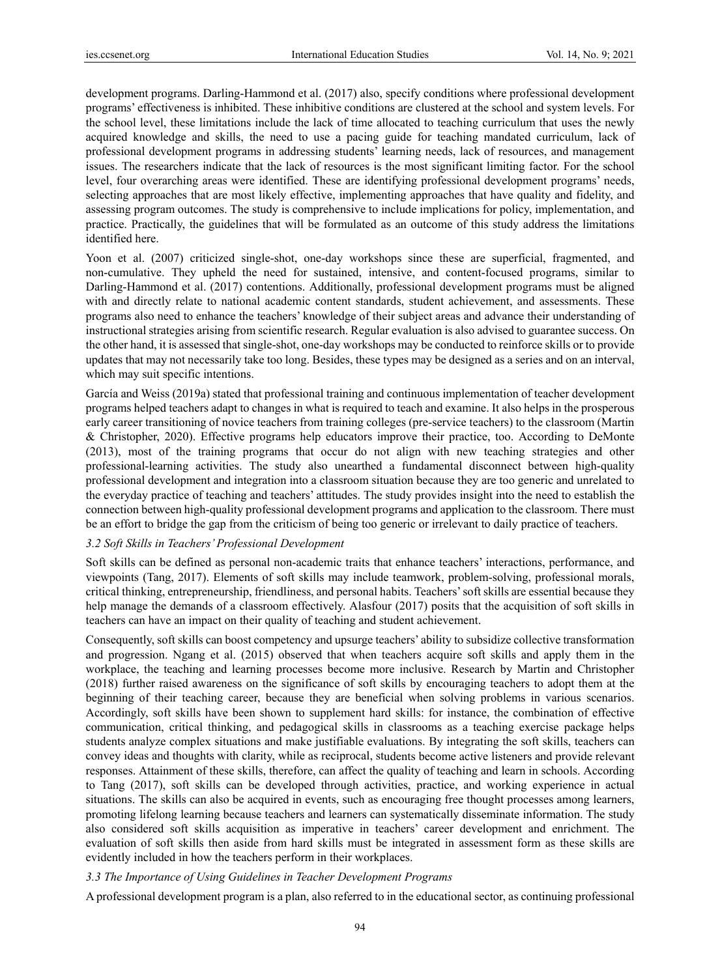development programs. Darling-Hammond et al. (2017) also, specify conditions where professional development programs' effectiveness is inhibited. These inhibitive conditions are clustered at the school and system levels. For the school level, these limitations include the lack of time allocated to teaching curriculum that uses the newly acquired knowledge and skills, the need to use a pacing guide for teaching mandated curriculum, lack of professional development programs in addressing students' learning needs, lack of resources, and management issues. The researchers indicate that the lack of resources is the most significant limiting factor. For the school level, four overarching areas were identified. These are identifying professional development programs' needs, selecting approaches that are most likely effective, implementing approaches that have quality and fidelity, and assessing program outcomes. The study is comprehensive to include implications for policy, implementation, and practice. Practically, the guidelines that will be formulated as an outcome of this study address the limitations identified here.

Yoon et al. (2007) criticized single-shot, one-day workshops since these are superficial, fragmented, and non-cumulative. They upheld the need for sustained, intensive, and content-focused programs, similar to Darling-Hammond et al. (2017) contentions. Additionally, professional development programs must be aligned with and directly relate to national academic content standards, student achievement, and assessments. These programs also need to enhance the teachers' knowledge of their subject areas and advance their understanding of instructional strategies arising from scientific research. Regular evaluation is also advised to guarantee success. On the other hand, it is assessed that single-shot, one-day workshops may be conducted to reinforce skills or to provide updates that may not necessarily take too long. Besides, these types may be designed as a series and on an interval, which may suit specific intentions.

García and Weiss (2019a) stated that professional training and continuous implementation of teacher development programs helped teachers adapt to changes in what is required to teach and examine. It also helps in the prosperous early career transitioning of novice teachers from training colleges (pre-service teachers) to the classroom (Martin & Christopher, 2020). Effective programs help educators improve their practice, too. According to DeMonte (2013), most of the training programs that occur do not align with new teaching strategies and other professional-learning activities. The study also unearthed a fundamental disconnect between high-quality professional development and integration into a classroom situation because they are too generic and unrelated to the everyday practice of teaching and teachers' attitudes. The study provides insight into the need to establish the connection between high-quality professional development programs and application to the classroom. There must be an effort to bridge the gap from the criticism of being too generic or irrelevant to daily practice of teachers.

#### *3.2 Soft Skills in Teachers' Professional Development*

Soft skills can be defined as personal non-academic traits that enhance teachers' interactions, performance, and viewpoints (Tang, 2017). Elements of soft skills may include teamwork, problem-solving, professional morals, critical thinking, entrepreneurship, friendliness, and personal habits. Teachers' soft skills are essential because they help manage the demands of a classroom effectively. Alasfour (2017) posits that the acquisition of soft skills in teachers can have an impact on their quality of teaching and student achievement.

Consequently, soft skills can boost competency and upsurge teachers' ability to subsidize collective transformation and progression. Ngang et al. (2015) observed that when teachers acquire soft skills and apply them in the workplace, the teaching and learning processes become more inclusive. Research by Martin and Christopher (2018) further raised awareness on the significance of soft skills by encouraging teachers to adopt them at the beginning of their teaching career, because they are beneficial when solving problems in various scenarios. Accordingly, soft skills have been shown to supplement hard skills: for instance, the combination of effective communication, critical thinking, and pedagogical skills in classrooms as a teaching exercise package helps students analyze complex situations and make justifiable evaluations. By integrating the soft skills, teachers can convey ideas and thoughts with clarity, while as reciprocal, students become active listeners and provide relevant responses. Attainment of these skills, therefore, can affect the quality of teaching and learn in schools. According to Tang (2017), soft skills can be developed through activities, practice, and working experience in actual situations. The skills can also be acquired in events, such as encouraging free thought processes among learners, promoting lifelong learning because teachers and learners can systematically disseminate information. The study also considered soft skills acquisition as imperative in teachers' career development and enrichment. The evaluation of soft skills then aside from hard skills must be integrated in assessment form as these skills are evidently included in how the teachers perform in their workplaces.

## *3.3 The Importance of Using Guidelines in Teacher Development Programs*

A professional development program is a plan, also referred to in the educational sector, as continuing professional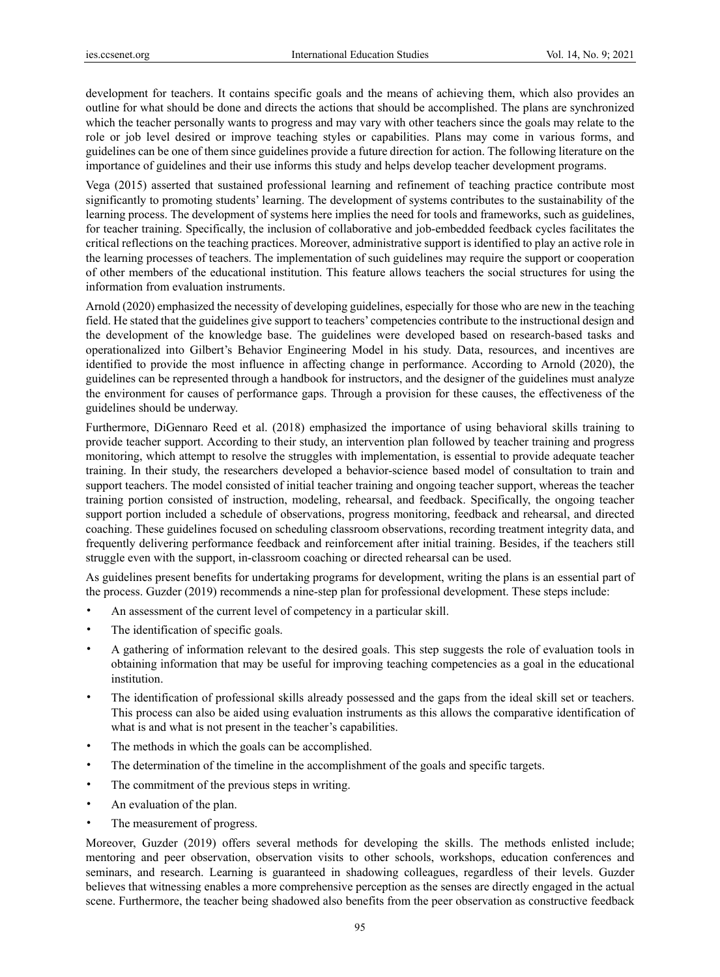development for teachers. It contains specific goals and the means of achieving them, which also provides an outline for what should be done and directs the actions that should be accomplished. The plans are synchronized which the teacher personally wants to progress and may vary with other teachers since the goals may relate to the role or job level desired or improve teaching styles or capabilities. Plans may come in various forms, and guidelines can be one of them since guidelines provide a future direction for action. The following literature on the importance of guidelines and their use informs this study and helps develop teacher development programs.

Vega (2015) asserted that sustained professional learning and refinement of teaching practice contribute most significantly to promoting students' learning. The development of systems contributes to the sustainability of the learning process. The development of systems here implies the need for tools and frameworks, such as guidelines, for teacher training. Specifically, the inclusion of collaborative and job-embedded feedback cycles facilitates the critical reflections on the teaching practices. Moreover, administrative support is identified to play an active role in the learning processes of teachers. The implementation of such guidelines may require the support or cooperation of other members of the educational institution. This feature allows teachers the social structures for using the information from evaluation instruments.

Arnold (2020) emphasized the necessity of developing guidelines, especially for those who are new in the teaching field. He stated that the guidelines give support to teachers' competencies contribute to the instructional design and the development of the knowledge base. The guidelines were developed based on research-based tasks and operationalized into Gilbert's Behavior Engineering Model in his study. Data, resources, and incentives are identified to provide the most influence in affecting change in performance. According to Arnold (2020), the guidelines can be represented through a handbook for instructors, and the designer of the guidelines must analyze the environment for causes of performance gaps. Through a provision for these causes, the effectiveness of the guidelines should be underway.

Furthermore, DiGennaro Reed et al. (2018) emphasized the importance of using behavioral skills training to provide teacher support. According to their study, an intervention plan followed by teacher training and progress monitoring, which attempt to resolve the struggles with implementation, is essential to provide adequate teacher training. In their study, the researchers developed a behavior-science based model of consultation to train and support teachers. The model consisted of initial teacher training and ongoing teacher support, whereas the teacher training portion consisted of instruction, modeling, rehearsal, and feedback. Specifically, the ongoing teacher support portion included a schedule of observations, progress monitoring, feedback and rehearsal, and directed coaching. These guidelines focused on scheduling classroom observations, recording treatment integrity data, and frequently delivering performance feedback and reinforcement after initial training. Besides, if the teachers still struggle even with the support, in-classroom coaching or directed rehearsal can be used.

As guidelines present benefits for undertaking programs for development, writing the plans is an essential part of the process. Guzder (2019) recommends a nine-step plan for professional development. These steps include:

- An assessment of the current level of competency in a particular skill.
- The identification of specific goals.
- A gathering of information relevant to the desired goals. This step suggests the role of evaluation tools in obtaining information that may be useful for improving teaching competencies as a goal in the educational institution.
- The identification of professional skills already possessed and the gaps from the ideal skill set or teachers. This process can also be aided using evaluation instruments as this allows the comparative identification of what is and what is not present in the teacher's capabilities.
- The methods in which the goals can be accomplished.
- The determination of the timeline in the accomplishment of the goals and specific targets.
- The commitment of the previous steps in writing.
- An evaluation of the plan.
- The measurement of progress.

Moreover, Guzder (2019) offers several methods for developing the skills. The methods enlisted include; mentoring and peer observation, observation visits to other schools, workshops, education conferences and seminars, and research. Learning is guaranteed in shadowing colleagues, regardless of their levels. Guzder believes that witnessing enables a more comprehensive perception as the senses are directly engaged in the actual scene. Furthermore, the teacher being shadowed also benefits from the peer observation as constructive feedback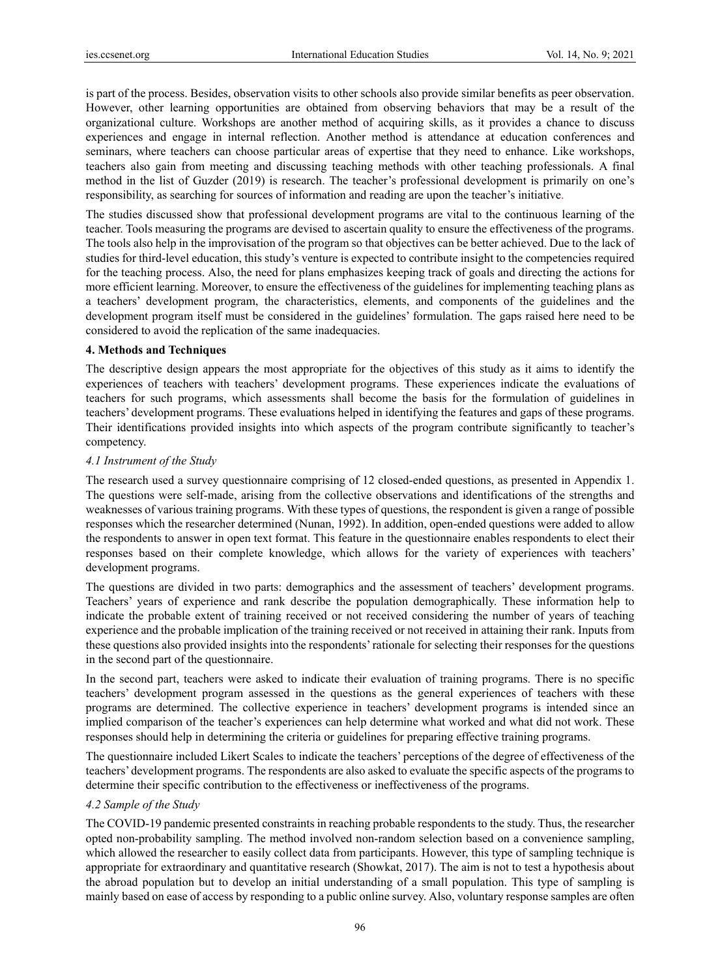is part of the process. Besides, observation visits to other schools also provide similar benefits as peer observation. However, other learning opportunities are obtained from observing behaviors that may be a result of the organizational culture. Workshops are another method of acquiring skills, as it provides a chance to discuss experiences and engage in internal reflection. Another method is attendance at education conferences and seminars, where teachers can choose particular areas of expertise that they need to enhance. Like workshops, teachers also gain from meeting and discussing teaching methods with other teaching professionals. A final method in the list of Guzder (2019) is research. The teacher's professional development is primarily on one's responsibility, as searching for sources of information and reading are upon the teacher's initiative.

The studies discussed show that professional development programs are vital to the continuous learning of the teacher. Tools measuring the programs are devised to ascertain quality to ensure the effectiveness of the programs. The tools also help in the improvisation of the program so that objectives can be better achieved. Due to the lack of studies for third-level education, this study's venture is expected to contribute insight to the competencies required for the teaching process. Also, the need for plans emphasizes keeping track of goals and directing the actions for more efficient learning. Moreover, to ensure the effectiveness of the guidelines for implementing teaching plans as a teachers' development program, the characteristics, elements, and components of the guidelines and the development program itself must be considered in the guidelines' formulation. The gaps raised here need to be considered to avoid the replication of the same inadequacies.

#### **4. Methods and Techniques**

The descriptive design appears the most appropriate for the objectives of this study as it aims to identify the experiences of teachers with teachers' development programs. These experiences indicate the evaluations of teachers for such programs, which assessments shall become the basis for the formulation of guidelines in teachers' development programs. These evaluations helped in identifying the features and gaps of these programs. Their identifications provided insights into which aspects of the program contribute significantly to teacher's competency.

#### *4.1 Instrument of the Study*

The research used a survey questionnaire comprising of 12 closed-ended questions, as presented in Appendix 1. The questions were self-made, arising from the collective observations and identifications of the strengths and weaknesses of various training programs. With these types of questions, the respondent is given a range of possible responses which the researcher determined (Nunan, 1992). In addition, open-ended questions were added to allow the respondents to answer in open text format. This feature in the questionnaire enables respondents to elect their responses based on their complete knowledge, which allows for the variety of experiences with teachers' development programs.

The questions are divided in two parts: demographics and the assessment of teachers' development programs. Teachers' years of experience and rank describe the population demographically. These information help to indicate the probable extent of training received or not received considering the number of years of teaching experience and the probable implication of the training received or not received in attaining their rank. Inputs from these questions also provided insights into the respondents' rationale for selecting their responses for the questions in the second part of the questionnaire.

In the second part, teachers were asked to indicate their evaluation of training programs. There is no specific teachers' development program assessed in the questions as the general experiences of teachers with these programs are determined. The collective experience in teachers' development programs is intended since an implied comparison of the teacher's experiences can help determine what worked and what did not work. These responses should help in determining the criteria or guidelines for preparing effective training programs.

The questionnaire included Likert Scales to indicate the teachers' perceptions of the degree of effectiveness of the teachers' development programs. The respondents are also asked to evaluate the specific aspects of the programs to determine their specific contribution to the effectiveness or ineffectiveness of the programs.

#### *4.2 Sample of the Study*

The COVID-19 pandemic presented constraints in reaching probable respondents to the study. Thus, the researcher opted non-probability sampling. The method involved non-random selection based on a convenience sampling, which allowed the researcher to easily collect data from participants. However, this type of sampling technique is appropriate for extraordinary and quantitative research (Showkat, 2017). The aim is not to test a hypothesis about the abroad population but to develop an initial understanding of a small population. This type of sampling is mainly based on ease of access by responding to a public online survey. Also, voluntary response samples are often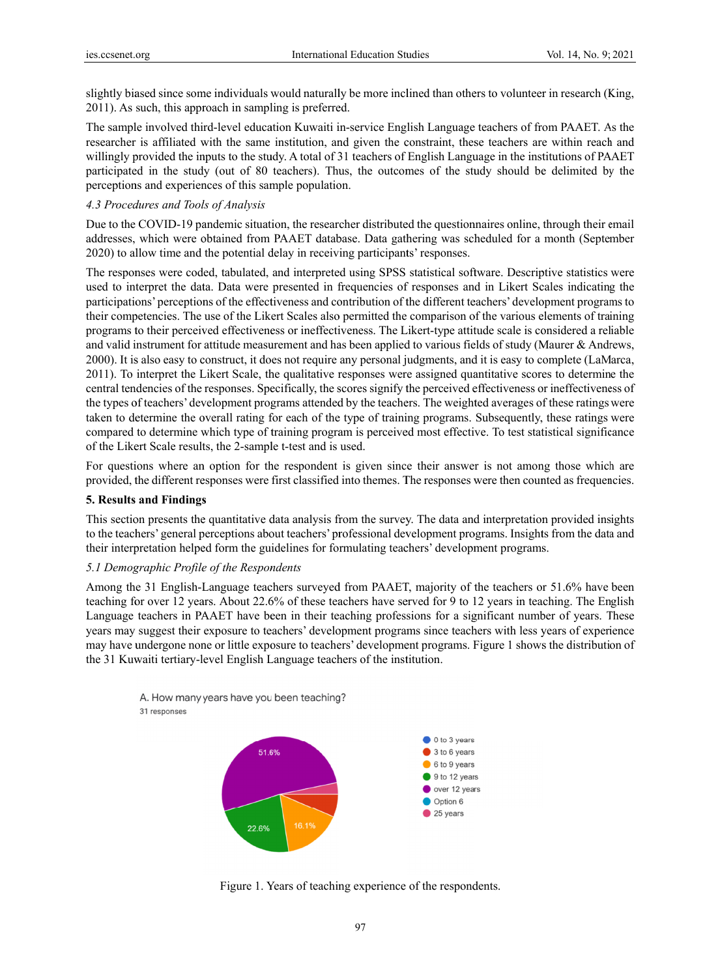slightly biased since some individuals would naturally be more inclined than others to volunteer in research (King, 2011). As such, this approach in sampling is preferred.

The sample involved third-level education Kuwaiti in-service English Language teachers of from PAAET. As the researcher is affiliated with the same institution, and given the constraint, these teachers are within reach and willingly provided the inputs to the study. A total of 31 teachers of English Language in the institutions of PAAET participated in the study (out of 80 teachers). Thus, the outcomes of the study should be delimited by the perceptions and experiences of this sample population.

#### 4.3 Procedures and Tools of Analysis

Due to the COVID-19 pandemic situation, the researcher distributed the questionnaires online, through their email addresses, which were obtained from PAAET database. Data gathering was scheduled for a month (September 2020) to allow time and the potential delay in receiving participants' responses.

The responses were coded, tabulated, and interpreted using SPSS statistical software. Descriptive statistics were used to interpret the data. Data were presented in frequencies of responses and in Likert Scales indicating the participations' perceptions of the effectiveness and contribution of the different teachers' development programs to their competencies. The use of the Likert Scales also permitted the comparison of the various elements of training programs to their perceived effectiveness or ineffectiveness. The Likert-type attitude scale is considered a reliable and valid instrument for attitude measurement and has been applied to various fields of study (Maurer & Andrews, 2000). It is also easy to construct, it does not require any personal judgments, and it is easy to complete (LaMarca, 2011). To interpret the Likert Scale, the qualitative responses were assigned quantitative scores to determine the central tendencies of the responses. Specifically, the scores signify the perceived effectiveness or ineffectiveness of the types of teachers' development programs attended by the teachers. The weighted averages of these ratings were taken to determine the overall rating for each of the type of training programs. Subsequently, these ratings were compared to determine which type of training program is perceived most effective. To test statistical significance of the Likert Scale results, the 2-sample t-test and is used.

For questions where an option for the respondent is given since their answer is not among those which are provided, the different responses were first classified into themes. The responses were then counted as frequencies.

#### **5. Results and Findings s**

This section presents the quantitative data analysis from the survey. The data and interpretation provided insights to the teachers' general perceptions about teachers' professional development programs. Insights from the data and their interpretation helped form the guidelines for formulating teachers' development programs.

#### 5.1 Demographic Profile of the Respondents

Among the 31 English-Language teachers surveyed from PAAET, majority of the teachers or 51.6% have been teaching for over 12 years. About 22.6% of these teachers have served for 9 to 12 years in teaching. The English Language teachers in PAAET have been in their teaching professions for a significant number of years. These years may suggest their exposure to teachers' development programs since teachers with less years of experience may have undergone none or little exposure to teachers' development programs. Figure 1 shows the distribution of the 31 Kuwaiti tertiary-level English Language teachers of the institution.

A. How many years have you been teaching? 31 responses



Figure 1. Years of teaching experience of the respondents.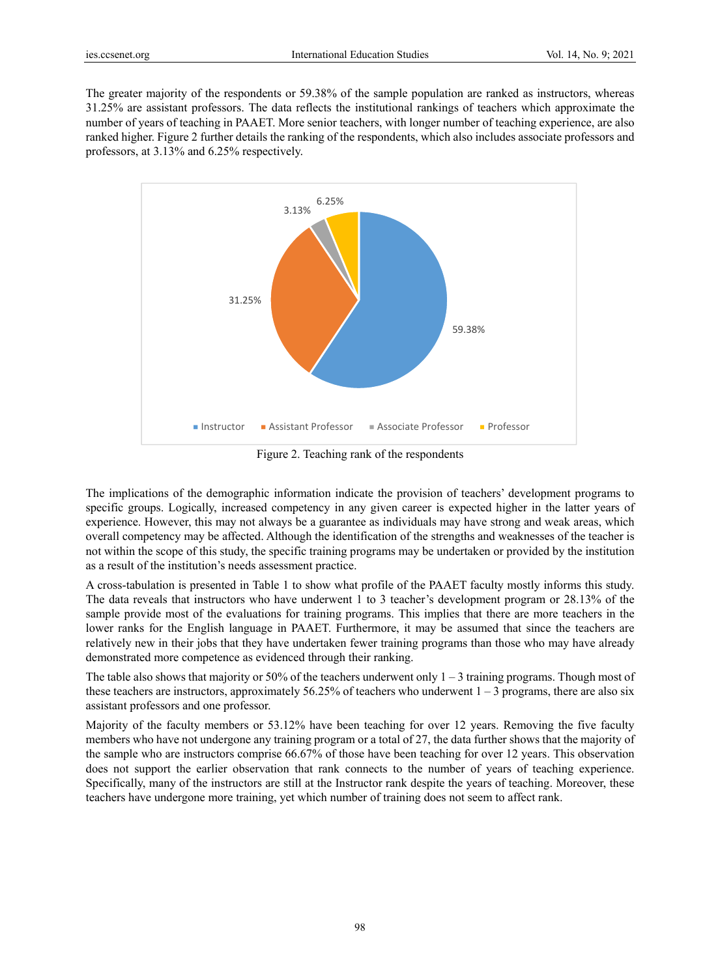The greater majority of the respondents or 59.38% of the sample population are ranked as instructors, whereas 31.25% are assistant professors. The data reflects the institutional rankings of teachers which approximate the number of years of teaching in PAAET. More senior teachers, with longer number of teaching experience, are also ranked higher. Figure 2 further details the ranking of the respondents, which also includes associate professors and professors, at 3.13% and 6.25% respectively.



Figure 2. Teaching rank of the respondents

The implications of the demographic information indicate the provision of teachers' development programs to specific groups. Logically, increased competency in any given career is expected higher in the latter years of experience. However, this may not always be a guarantee as individuals may have strong and weak areas, which overall competency may be affected. Although the identification of the strengths and weaknesses of the teacher is not within the scope of this study, the specific training programs may be undertaken or provided by the institution as a result of the institution's needs assessment practice.

A cross-tabulation is presented in Table 1 to show what profile of the PAAET faculty mostly informs this study. The data reveals that instructors who have underwent 1 to 3 teacher's development program or 28.13% of the sample provide most of the evaluations for training programs. This implies that there are more teachers in the lower ranks for the English language in PAAET. Furthermore, it may be assumed that since the teachers are relatively new in their jobs that they have undertaken fewer training programs than those who may have already demonstrated more competence as evidenced through their ranking.

The table also shows that majority or 50% of the teachers underwent only  $1 - 3$  training programs. Though most of these teachers are instructors, approximately 56.25% of teachers who underwent  $1 - 3$  programs, there are also six assistant professors and one professor.

Majority of the faculty members or 53.12% have been teaching for over 12 years. Removing the five faculty members who have not undergone any training program or a total of 27, the data further shows that the majority of the sample who are instructors comprise 66.67% of those have been teaching for over 12 years. This observation does not support the earlier observation that rank connects to the number of years of teaching experience. Specifically, many of the instructors are still at the Instructor rank despite the years of teaching. Moreover, these teachers have undergone more training, yet which number of training does not seem to affect rank.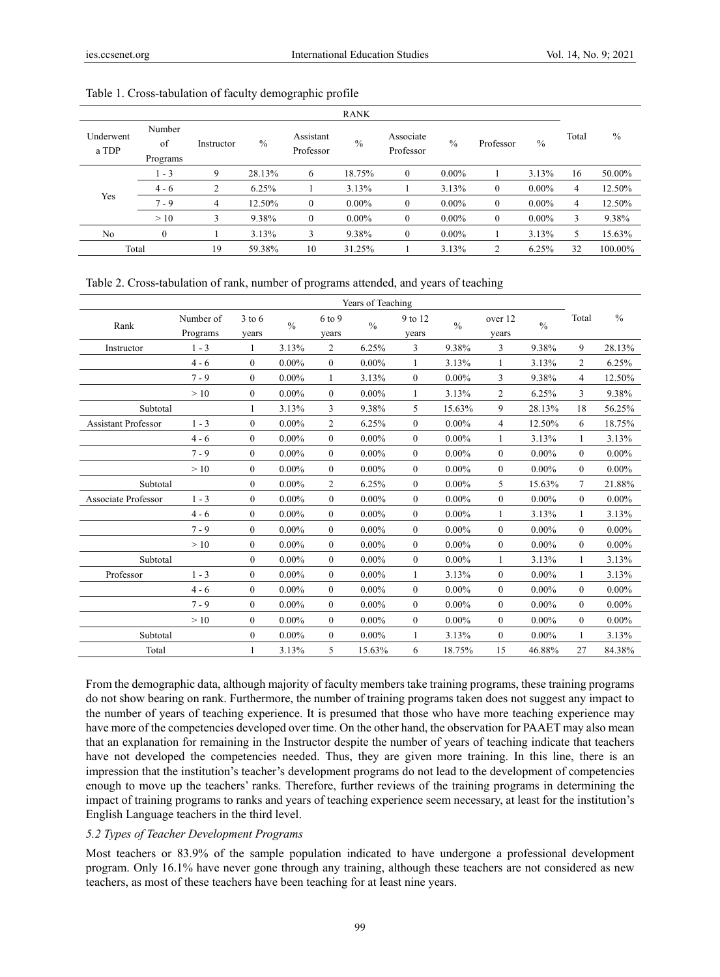|                    |                          |            |               |                        | <b>RANK</b>   |                        |          |                |               |       |         |
|--------------------|--------------------------|------------|---------------|------------------------|---------------|------------------------|----------|----------------|---------------|-------|---------|
| Underwent<br>a TDP | Number<br>of<br>Programs | Instructor | $\frac{0}{0}$ | Assistant<br>Professor | $\frac{0}{0}$ | Associate<br>Professor | $\%$     | Professor      | $\frac{0}{0}$ | Total | $\%$    |
|                    | $1 - 3$                  | 9          | 28.13%        | 6                      | 18.75%        | $\mathbf{0}$           | $0.00\%$ |                | 3.13%         | 16    | 50.00%  |
|                    | $4 - 6$                  | 2          | 6.25%         |                        | 3.13%         |                        | 3.13%    | $\theta$       | $0.00\%$      | 4     | 12.50%  |
| Yes                | $7 - 9$                  | 4          | 12.50%        | $\mathbf{0}$           | $0.00\%$      | $\mathbf{0}$           | $0.00\%$ | $\theta$       | $0.00\%$      | 4     | 12.50%  |
|                    | >10                      | 3          | 9.38%         | $\mathbf{0}$           | $0.00\%$      | $\mathbf{0}$           | $0.00\%$ | $\theta$       | $0.00\%$      | 3     | 9.38%   |
| N <sub>o</sub>     | $\theta$                 |            | 3.13%         | 3                      | 9.38%         | $\mathbf{0}$           | $0.00\%$ |                | 3.13%         | 5     | 15.63%  |
| Total              |                          | 19         | 59.38%        | 10                     | 31.25%        |                        | 3.13%    | $\overline{c}$ | 6.25%         | 32    | 100.00% |

#### Table 1. Cross-tabulation of faculty demographic profile

Table 2. Cross-tabulation of rank, number of programs attended, and years of teaching

|                            | Years of Teaching     |                   |               |                   |               |                  |               |                  |               |                |               |
|----------------------------|-----------------------|-------------------|---------------|-------------------|---------------|------------------|---------------|------------------|---------------|----------------|---------------|
| Rank                       | Number of<br>Programs | $3$ to 6<br>years | $\frac{0}{0}$ | $6$ to 9<br>years | $\frac{0}{0}$ | 9 to 12<br>years | $\frac{0}{0}$ | over 12<br>years | $\frac{0}{0}$ | Total          | $\frac{0}{0}$ |
| Instructor                 | $1 - 3$               | 1                 | 3.13%         | $\overline{2}$    | 6.25%         | 3                | 9.38%         | 3                | 9.38%         | 9              | 28.13%        |
|                            | $4 - 6$               | $\mathbf{0}$      | $0.00\%$      | $\mathbf{0}$      | $0.00\%$      | 1                | 3.13%         | 1                | 3.13%         | $\overline{2}$ | 6.25%         |
|                            | $7 - 9$               | $\Omega$          | $0.00\%$      | 1                 | 3.13%         | $\overline{0}$   | $0.00\%$      | 3                | 9.38%         | 4              | 12.50%        |
|                            | >10                   | $\mathbf{0}$      | $0.00\%$      | $\mathbf{0}$      | $0.00\%$      | 1                | 3.13%         | 2                | 6.25%         | 3              | 9.38%         |
| Subtotal                   |                       | 1                 | 3.13%         | 3                 | 9.38%         | 5                | 15.63%        | 9                | 28.13%        | 18             | 56.25%        |
| <b>Assistant Professor</b> | $1 - 3$               | $\Omega$          | $0.00\%$      | $\overline{2}$    | 6.25%         | $\overline{0}$   | $0.00\%$      | $\overline{4}$   | 12.50%        | 6              | 18.75%        |
|                            | $4 - 6$               | $\Omega$          | $0.00\%$      | $\theta$          | $0.00\%$      | $\theta$         | $0.00\%$      | 1                | 3.13%         | 1              | 3.13%         |
|                            | $7 - 9$               | $\Omega$          | $0.00\%$      | $\theta$          | $0.00\%$      | $\mathbf{0}$     | $0.00\%$      | $\mathbf{0}$     | $0.00\%$      | $\theta$       | $0.00\%$      |
|                            | >10                   | $\mathbf{0}$      | $0.00\%$      | $\mathbf{0}$      | $0.00\%$      | $\overline{0}$   | $0.00\%$      | $\mathbf{0}$     | $0.00\%$      | $\theta$       | $0.00\%$      |
| Subtotal                   |                       | $\Omega$          | $0.00\%$      | $\overline{2}$    | 6.25%         | $\overline{0}$   | $0.00\%$      | 5                | 15.63%        | $\tau$         | 21.88%        |
| Associate Professor        | $1 - 3$               | $\overline{0}$    | $0.00\%$      | $\mathbf{0}$      | $0.00\%$      | $\mathbf{0}$     | $0.00\%$      | $\overline{0}$   | $0.00\%$      | $\theta$       | $0.00\%$      |
|                            | $4 - 6$               | $\theta$          | $0.00\%$      | $\theta$          | $0.00\%$      | $\theta$         | $0.00\%$      | 1                | 3.13%         | 1              | 3.13%         |
|                            | $7 - 9$               | $\mathbf{0}$      | $0.00\%$      | $\theta$          | $0.00\%$      | $\mathbf{0}$     | $0.00\%$      | $\mathbf{0}$     | $0.00\%$      | $\theta$       | $0.00\%$      |
|                            | >10                   | $\theta$          | $0.00\%$      | $\theta$          | $0.00\%$      | $\overline{0}$   | $0.00\%$      | $\mathbf{0}$     | $0.00\%$      | $\theta$       | $0.00\%$      |
| Subtotal                   |                       | $\Omega$          | $0.00\%$      | $\theta$          | $0.00\%$      | $\theta$         | $0.00\%$      | 1                | 3.13%         | 1              | 3.13%         |
| Professor                  | $1 - 3$               | $\theta$          | $0.00\%$      | $\theta$          | $0.00\%$      | $\mathbf{1}$     | 3.13%         | $\overline{0}$   | $0.00\%$      | 1              | 3.13%         |
|                            | $4 - 6$               | $\theta$          | $0.00\%$      | $\theta$          | $0.00\%$      | $\theta$         | $0.00\%$      | $\mathbf{0}$     | $0.00\%$      | $\theta$       | $0.00\%$      |
|                            | $7 - 9$               | $\theta$          | $0.00\%$      | $\mathbf{0}$      | $0.00\%$      | $\mathbf{0}$     | $0.00\%$      | $\mathbf{0}$     | $0.00\%$      | $\theta$       | $0.00\%$      |
|                            | >10                   | $\theta$          | $0.00\%$      | $\mathbf{0}$      | $0.00\%$      | $\mathbf{0}$     | $0.00\%$      | $\mathbf{0}$     | $0.00\%$      | $\theta$       | $0.00\%$      |
| Subtotal                   |                       | $\overline{0}$    | $0.00\%$      | $\mathbf{0}$      | $0.00\%$      | 1                | 3.13%         | $\overline{0}$   | $0.00\%$      | 1              | 3.13%         |
| Total                      |                       |                   | 3.13%         | 5                 | 15.63%        | 6                | 18.75%        | 15               | 46.88%        | 27             | 84.38%        |

From the demographic data, although majority of faculty members take training programs, these training programs do not show bearing on rank. Furthermore, the number of training programs taken does not suggest any impact to the number of years of teaching experience. It is presumed that those who have more teaching experience may have more of the competencies developed over time. On the other hand, the observation for PAAET may also mean that an explanation for remaining in the Instructor despite the number of years of teaching indicate that teachers have not developed the competencies needed. Thus, they are given more training. In this line, there is an impression that the institution's teacher's development programs do not lead to the development of competencies enough to move up the teachers' ranks. Therefore, further reviews of the training programs in determining the impact of training programs to ranks and years of teaching experience seem necessary, at least for the institution's English Language teachers in the third level.

#### *5.2 Types of Teacher Development Programs*

Most teachers or 83.9% of the sample population indicated to have undergone a professional development program. Only 16.1% have never gone through any training, although these teachers are not considered as new teachers, as most of these teachers have been teaching for at least nine years.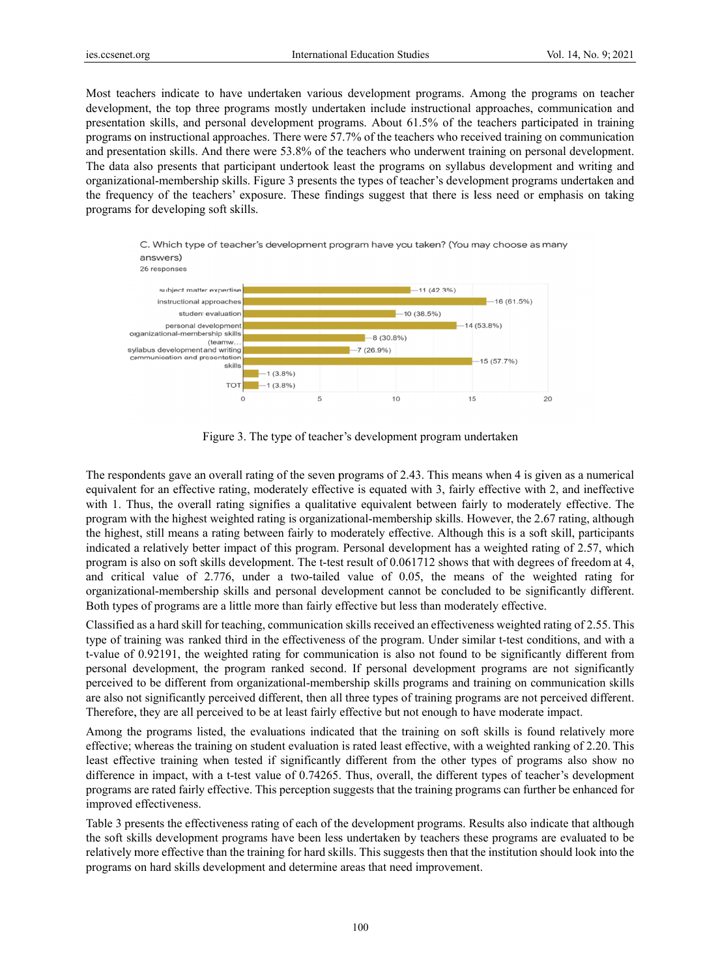Most teachers indicate to have undertaken various development programs. Among the programs on teacher development, the top three programs mostly undertaken include instructional approaches, communication and presentation skills, and personal development programs. About 61.5% of the teachers participated in training programs on instructional approaches. There were 57.7% of the teachers who received training on communication and presentation skills. And there were 53.8% of the teachers who underwent training on personal development. The data also presents that participant undertook least the programs on syllabus development and writing and organizational-membership skills. Figure 3 presents the types of teacher's development programs undertaken and the frequency of the teachers' exposure. These findings suggest that there is less need or emphasis on taking programs for developing soft skills.



Figure 3. The type of teacher's development program undertaken

The respondents gave an overall rating of the seven programs of 2.43. This means when 4 is given as a numerical equivalent for an effective rating, moderately effective is equated with 3, fairly effective with 2, and ineffective with 1. Thus, the overall rating signifies a qualitative equivalent between fairly to moderately effective. The program with the highest weighted rating is organizational-membership skills. However, the 2.67 rating, although the highest, still means a rating between fairly to moderately effective. Although this is a soft skill, participants indicated a relatively better impact of this program. Personal development has a weighted rating of 2.57, which program is also on soft skills development. The t-test result of 0.061712 shows that with degrees of freedom at 4, and critical value of 2.776, under a two-tailed value of 0.05, the means of the weighted rating for organizational-membership skills and personal development cannot be concluded to be significantly different. Both types of programs are a little more than fairly effective but less than moderately effective.

Classified as a hard skill for teaching, communication skills received an effectiveness weighted rating of 2.55. This type of training was ranked third in the effectiveness of the program. Under similar t-test conditions, and with a t-value of 0.92191, the weighted rating for communication is also not found to be significantly different from personal development, the program ranked second. If personal development programs are not significantly perceived to be different from organizational-membership skills programs and training on communication skills are also not significantly perceived different, then all three types of training programs are not perceived different. Therefore, they are all perceived to be at least fairly effective but not enough to have moderate impact.

Among the programs listed, the evaluations indicated that the training on soft skills is found relatively more effective; whereas the training on student evaluation is rated least effective, with a weighted ranking of 2.20. This least effective training when tested if significantly different from the other types of programs also show no difference in impact, with a t-test value of 0.74265. Thus, overall, the different types of teacher's development programs are rated fairly effective. This perception suggests that the training programs can further be enhanced for improved effectiveness.

Table 3 presents the effectiveness rating of each of the development programs. Results also indicate that although the soft sk kills developm ment programs have been less s undertaken b by teachers the ese programs a are evaluated to be relatively more effective than the training for hard skills. This suggests then that the institution should look into the programs on hard skills development and determine areas that need improvement.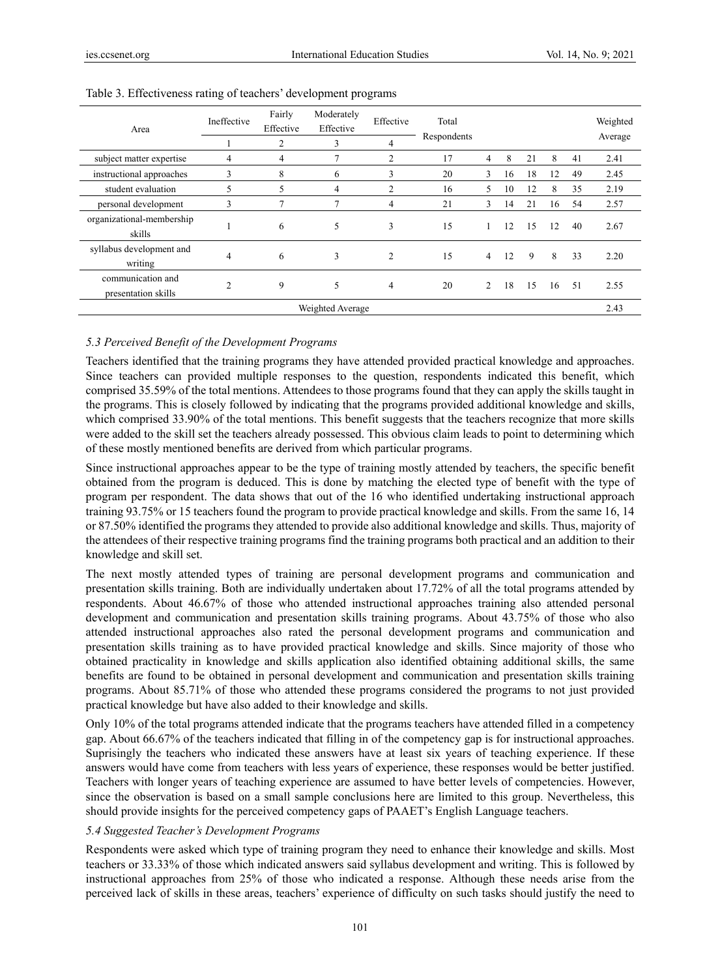| Area                                     | Ineffective    | Fairly<br>Effective<br>2 | Moderately<br>Effective<br>3 | Effective<br>4 | Total<br>Respondents |                |    |    |    |    | Weighted<br>Average |
|------------------------------------------|----------------|--------------------------|------------------------------|----------------|----------------------|----------------|----|----|----|----|---------------------|
| subject matter expertise                 | 4              | 4                        | $\mathbf{r}$                 | $\overline{2}$ | 17                   | 4              | 8  | 21 | 8  | 41 | 2.41                |
| instructional approaches                 | 3              | 8                        | 6                            | 3              | 20                   | 3              | 16 | 18 | 12 | 49 | 2.45                |
| student evaluation                       | 5              | 5                        | 4                            | $\overline{2}$ | 16                   | 5              | 10 | 12 | 8  | 35 | 2.19                |
| personal development                     | 3              | 7                        | 7                            | 4              | 21                   | 3              | 14 | 21 | 16 | 54 | 2.57                |
| organizational-membership<br>skills      |                | 6                        | 5                            | 3              | 15                   |                | 12 | 15 | 12 | 40 | 2.67                |
| syllabus development and<br>writing      | 4              | 6                        | 3                            | $\overline{2}$ | 15                   | $\overline{4}$ | 12 | 9  | 8  | 33 | 2.20                |
| communication and<br>presentation skills | $\overline{2}$ | 9                        | 5                            | 4              | 20                   | 2              | 18 | 15 | 16 | 51 | 2.55                |
| Weighted Average<br>2.43                 |                |                          |                              |                |                      |                |    |    |    |    |                     |

#### Table 3. Effectiveness rating of teachers' development programs

## *5.3 Perceived Benefit of the Development Programs*

Teachers identified that the training programs they have attended provided practical knowledge and approaches. Since teachers can provided multiple responses to the question, respondents indicated this benefit, which comprised 35.59% of the total mentions. Attendees to those programs found that they can apply the skills taught in the programs. This is closely followed by indicating that the programs provided additional knowledge and skills, which comprised 33.90% of the total mentions. This benefit suggests that the teachers recognize that more skills were added to the skill set the teachers already possessed. This obvious claim leads to point to determining which of these mostly mentioned benefits are derived from which particular programs.

Since instructional approaches appear to be the type of training mostly attended by teachers, the specific benefit obtained from the program is deduced. This is done by matching the elected type of benefit with the type of program per respondent. The data shows that out of the 16 who identified undertaking instructional approach training 93.75% or 15 teachers found the program to provide practical knowledge and skills. From the same 16, 14 or 87.50% identified the programs they attended to provide also additional knowledge and skills. Thus, majority of the attendees of their respective training programs find the training programs both practical and an addition to their knowledge and skill set.

The next mostly attended types of training are personal development programs and communication and presentation skills training. Both are individually undertaken about 17.72% of all the total programs attended by respondents. About 46.67% of those who attended instructional approaches training also attended personal development and communication and presentation skills training programs. About 43.75% of those who also attended instructional approaches also rated the personal development programs and communication and presentation skills training as to have provided practical knowledge and skills. Since majority of those who obtained practicality in knowledge and skills application also identified obtaining additional skills, the same benefits are found to be obtained in personal development and communication and presentation skills training programs. About 85.71% of those who attended these programs considered the programs to not just provided practical knowledge but have also added to their knowledge and skills.

Only 10% of the total programs attended indicate that the programs teachers have attended filled in a competency gap. About 66.67% of the teachers indicated that filling in of the competency gap is for instructional approaches. Suprisingly the teachers who indicated these answers have at least six years of teaching experience. If these answers would have come from teachers with less years of experience, these responses would be better justified. Teachers with longer years of teaching experience are assumed to have better levels of competencies. However, since the observation is based on a small sample conclusions here are limited to this group. Nevertheless, this should provide insights for the perceived competency gaps of PAAET's English Language teachers.

#### *5.4 Suggested Teacher's Development Programs*

Respondents were asked which type of training program they need to enhance their knowledge and skills. Most teachers or 33.33% of those which indicated answers said syllabus development and writing. This is followed by instructional approaches from 25% of those who indicated a response. Although these needs arise from the perceived lack of skills in these areas, teachers' experience of difficulty on such tasks should justify the need to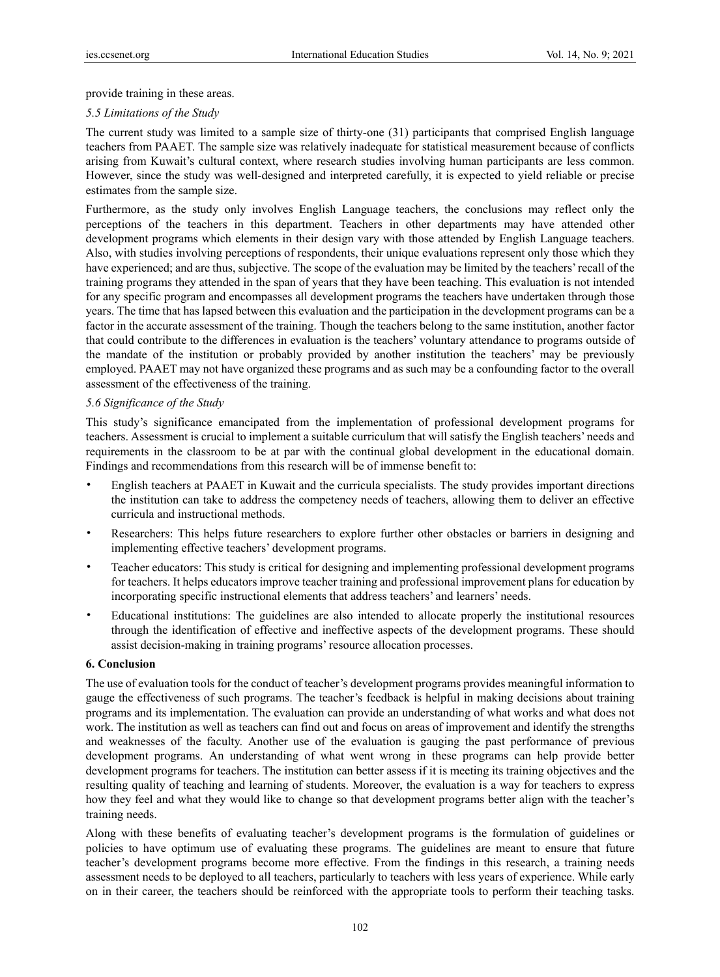provide training in these areas.

## *5.5 Limitations of the Study*

The current study was limited to a sample size of thirty-one (31) participants that comprised English language teachers from PAAET. The sample size was relatively inadequate for statistical measurement because of conflicts arising from Kuwait's cultural context, where research studies involving human participants are less common. However, since the study was well-designed and interpreted carefully, it is expected to yield reliable or precise estimates from the sample size.

Furthermore, as the study only involves English Language teachers, the conclusions may reflect only the perceptions of the teachers in this department. Teachers in other departments may have attended other development programs which elements in their design vary with those attended by English Language teachers. Also, with studies involving perceptions of respondents, their unique evaluations represent only those which they have experienced; and are thus, subjective. The scope of the evaluation may be limited by the teachers' recall of the training programs they attended in the span of years that they have been teaching. This evaluation is not intended for any specific program and encompasses all development programs the teachers have undertaken through those years. The time that has lapsed between this evaluation and the participation in the development programs can be a factor in the accurate assessment of the training. Though the teachers belong to the same institution, another factor that could contribute to the differences in evaluation is the teachers' voluntary attendance to programs outside of the mandate of the institution or probably provided by another institution the teachers' may be previously employed. PAAET may not have organized these programs and as such may be a confounding factor to the overall assessment of the effectiveness of the training.

#### *5.6 Significance of the Study*

This study's significance emancipated from the implementation of professional development programs for teachers. Assessment is crucial to implement a suitable curriculum that will satisfy the English teachers' needs and requirements in the classroom to be at par with the continual global development in the educational domain. Findings and recommendations from this research will be of immense benefit to:

- English teachers at PAAET in Kuwait and the curricula specialists. The study provides important directions the institution can take to address the competency needs of teachers, allowing them to deliver an effective curricula and instructional methods.
- Researchers: This helps future researchers to explore further other obstacles or barriers in designing and implementing effective teachers' development programs.
- Teacher educators: This study is critical for designing and implementing professional development programs for teachers. It helps educators improve teacher training and professional improvement plans for education by incorporating specific instructional elements that address teachers' and learners' needs.
- Educational institutions: The guidelines are also intended to allocate properly the institutional resources through the identification of effective and ineffective aspects of the development programs. These should assist decision-making in training programs' resource allocation processes.

#### **6. Conclusion**

The use of evaluation tools for the conduct of teacher's development programs provides meaningful information to gauge the effectiveness of such programs. The teacher's feedback is helpful in making decisions about training programs and its implementation. The evaluation can provide an understanding of what works and what does not work. The institution as well as teachers can find out and focus on areas of improvement and identify the strengths and weaknesses of the faculty. Another use of the evaluation is gauging the past performance of previous development programs. An understanding of what went wrong in these programs can help provide better development programs for teachers. The institution can better assess if it is meeting its training objectives and the resulting quality of teaching and learning of students. Moreover, the evaluation is a way for teachers to express how they feel and what they would like to change so that development programs better align with the teacher's training needs.

Along with these benefits of evaluating teacher's development programs is the formulation of guidelines or policies to have optimum use of evaluating these programs. The guidelines are meant to ensure that future teacher's development programs become more effective. From the findings in this research, a training needs assessment needs to be deployed to all teachers, particularly to teachers with less years of experience. While early on in their career, the teachers should be reinforced with the appropriate tools to perform their teaching tasks.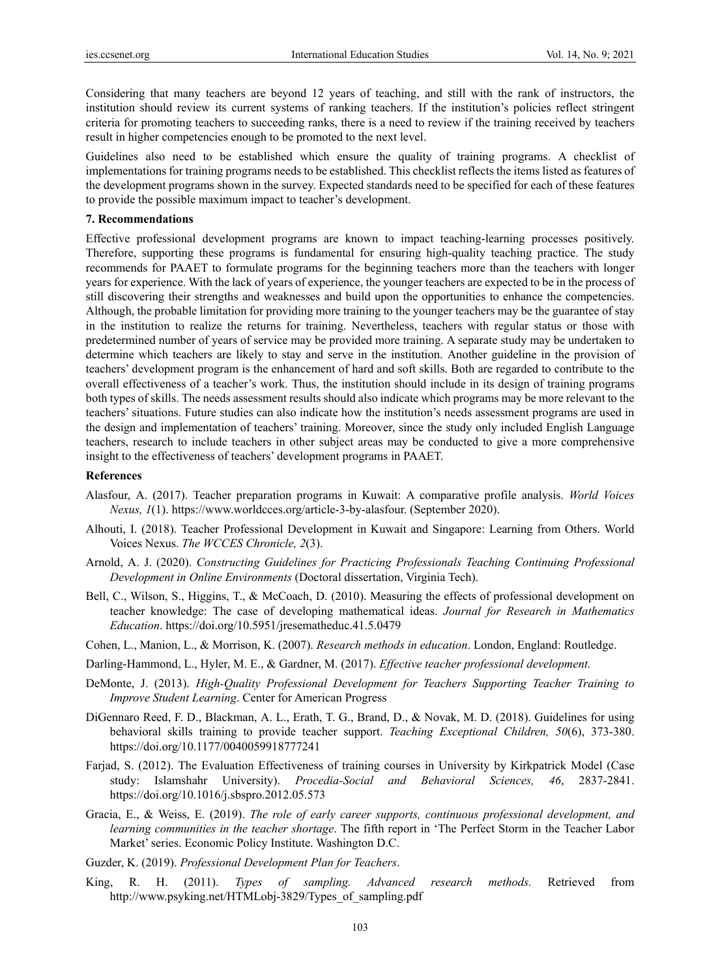Considering that many teachers are beyond 12 years of teaching, and still with the rank of instructors, the institution should review its current systems of ranking teachers. If the institution's policies reflect stringent criteria for promoting teachers to succeeding ranks, there is a need to review if the training received by teachers result in higher competencies enough to be promoted to the next level.

Guidelines also need to be established which ensure the quality of training programs. A checklist of implementations for training programs needs to be established. This checklist reflects the items listed as features of the development programs shown in the survey. Expected standards need to be specified for each of these features to provide the possible maximum impact to teacher's development.

#### **7. Recommendations**

Effective professional development programs are known to impact teaching-learning processes positively. Therefore, supporting these programs is fundamental for ensuring high-quality teaching practice. The study recommends for PAAET to formulate programs for the beginning teachers more than the teachers with longer years for experience. With the lack of years of experience, the younger teachers are expected to be in the process of still discovering their strengths and weaknesses and build upon the opportunities to enhance the competencies. Although, the probable limitation for providing more training to the younger teachers may be the guarantee of stay in the institution to realize the returns for training. Nevertheless, teachers with regular status or those with predetermined number of years of service may be provided more training. A separate study may be undertaken to determine which teachers are likely to stay and serve in the institution. Another guideline in the provision of teachers' development program is the enhancement of hard and soft skills. Both are regarded to contribute to the overall effectiveness of a teacher's work. Thus, the institution should include in its design of training programs both types of skills. The needs assessment results should also indicate which programs may be more relevant to the teachers' situations. Future studies can also indicate how the institution's needs assessment programs are used in the design and implementation of teachers' training. Moreover, since the study only included English Language teachers, research to include teachers in other subject areas may be conducted to give a more comprehensive insight to the effectiveness of teachers' development programs in PAAET.

#### **References**

- Alasfour, A. (2017). Teacher preparation programs in Kuwait: A comparative profile analysis. *World Voices Nexus, 1*(1). https://www.worldcces.org/article-3-by-alasfour. (September 2020).
- Alhouti, I. (2018). Teacher Professional Development in Kuwait and Singapore: Learning from Others. World Voices Nexus. *The WCCES Chronicle, 2*(3).
- Arnold, A. J. (2020). *Constructing Guidelines for Practicing Professionals Teaching Continuing Professional Development in Online Environments* (Doctoral dissertation, Virginia Tech).
- Bell, C., Wilson, S., Higgins, T., & McCoach, D. (2010). Measuring the effects of professional development on teacher knowledge: The case of developing mathematical ideas. *Journal for Research in Mathematics Education*. https://doi.org/10.5951/jresematheduc.41.5.0479
- Cohen, L., Manion, L., & Morrison, K. (2007). *Research methods in education*. London, England: Routledge.
- Darling-Hammond, L., Hyler, M. E., & Gardner, M. (2017). *Effective teacher professional development*.
- DeMonte, J. (2013). *High-Quality Professional Development for Teachers Supporting Teacher Training to Improve Student Learning*. Center for American Progress
- DiGennaro Reed, F. D., Blackman, A. L., Erath, T. G., Brand, D., & Novak, M. D. (2018). Guidelines for using behavioral skills training to provide teacher support. *Teaching Exceptional Children, 50*(6), 373-380. https://doi.org/10.1177/0040059918777241
- Farjad, S. (2012). The Evaluation Effectiveness of training courses in University by Kirkpatrick Model (Case study: Islamshahr University). *Procedia-Social and Behavioral Sciences, 46*, 2837-2841. https://doi.org/10.1016/j.sbspro.2012.05.573
- Gracia, E., & Weiss, E. (2019). *The role of early career supports, continuous professional development, and learning communities in the teacher shortage*. The fifth report in 'The Perfect Storm in the Teacher Labor Market' series. Economic Policy Institute. Washington D.C.
- Guzder, K. (2019). *Professional Development Plan for Teachers*.
- King, R. H. (2011). *Types of sampling. Advanced research methods.* Retrieved from http://www.psyking.net/HTMLobj-3829/Types\_of\_sampling.pdf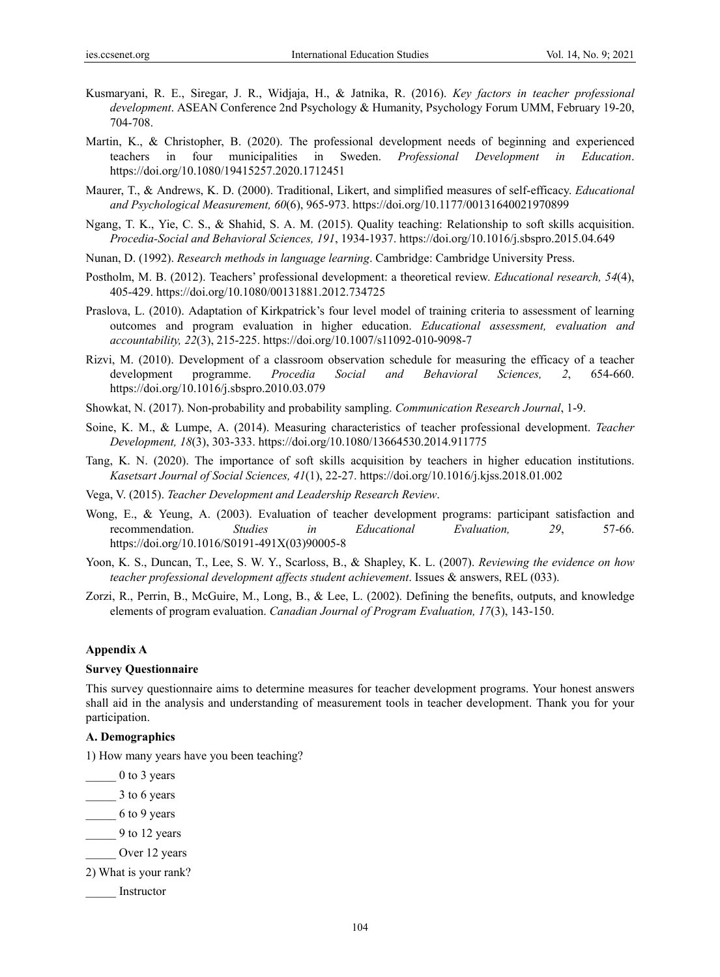- Kusmaryani, R. E., Siregar, J. R., Widjaja, H., & Jatnika, R. (2016). *Key factors in teacher professional development*. ASEAN Conference 2nd Psychology & Humanity, Psychology Forum UMM, February 19-20, 704-708.
- Martin, K., & Christopher, B. (2020). The professional development needs of beginning and experienced teachers in four municipalities in Sweden. *Professional Development in Education*. https://doi.org/10.1080/19415257.2020.1712451
- Maurer, T., & Andrews, K. D. (2000). Traditional, Likert, and simplified measures of self-efficacy. *Educational and Psychological Measurement, 60*(6), 965-973. https://doi.org/10.1177/00131640021970899
- Ngang, T. K., Yie, C. S., & Shahid, S. A. M. (2015). Quality teaching: Relationship to soft skills acquisition. *Procedia-Social and Behavioral Sciences, 191*, 1934-1937. https://doi.org/10.1016/j.sbspro.2015.04.649
- Nunan, D. (1992). *Research methods in language learning*. Cambridge: Cambridge University Press.
- Postholm, M. B. (2012). Teachers' professional development: a theoretical review. *Educational research, 54*(4), 405-429. https://doi.org/10.1080/00131881.2012.734725
- Praslova, L. (2010). Adaptation of Kirkpatrick's four level model of training criteria to assessment of learning outcomes and program evaluation in higher education. *Educational assessment, evaluation and accountability, 22*(3), 215-225. https://doi.org/10.1007/s11092-010-9098-7
- Rizvi, M. (2010). Development of a classroom observation schedule for measuring the efficacy of a teacher development programme. *Procedia Social and Behavioral Sciences, 2*, 654-660. https://doi.org/10.1016/j.sbspro.2010.03.079
- Showkat, N. (2017). Non-probability and probability sampling. *Communication Research Journal*, 1-9.
- Soine, K. M., & Lumpe, A. (2014). Measuring characteristics of teacher professional development. *Teacher Development, 18*(3), 303-333. https://doi.org/10.1080/13664530.2014.911775
- Tang, K. N. (2020). The importance of soft skills acquisition by teachers in higher education institutions. *Kasetsart Journal of Social Sciences, 41*(1), 22-27. https://doi.org/10.1016/j.kjss.2018.01.002
- Vega, V. (2015). *Teacher Development and Leadership Research Review*.
- Wong, E., & Yeung, A. (2003). Evaluation of teacher development programs: participant satisfaction and recommendation. *Studies in Educational Evaluation, 29*, 57-66. https://doi.org/10.1016/S0191-491X(03)90005-8
- Yoon, K. S., Duncan, T., Lee, S. W. Y., Scarloss, B., & Shapley, K. L. (2007). *Reviewing the evidence on how teacher professional development affects student achievement*. Issues & answers, REL (033).
- Zorzi, R., Perrin, B., McGuire, M., Long, B., & Lee, L. (2002). Defining the benefits, outputs, and knowledge elements of program evaluation. *Canadian Journal of Program Evaluation, 17*(3), 143-150.

#### **Appendix A**

#### **Survey Questionnaire**

This survey questionnaire aims to determine measures for teacher development programs. Your honest answers shall aid in the analysis and understanding of measurement tools in teacher development. Thank you for your participation.

#### **A. Demographics**

1) How many years have you been teaching?

\_\_\_\_\_ 0 to 3 years

- \_\_\_\_\_ 3 to 6 years
- \_\_\_\_\_ 6 to 9 years
- \_\_\_\_\_ 9 to 12 years
- Over 12 years
- 2) What is your rank?
- \_\_\_\_\_ Instructor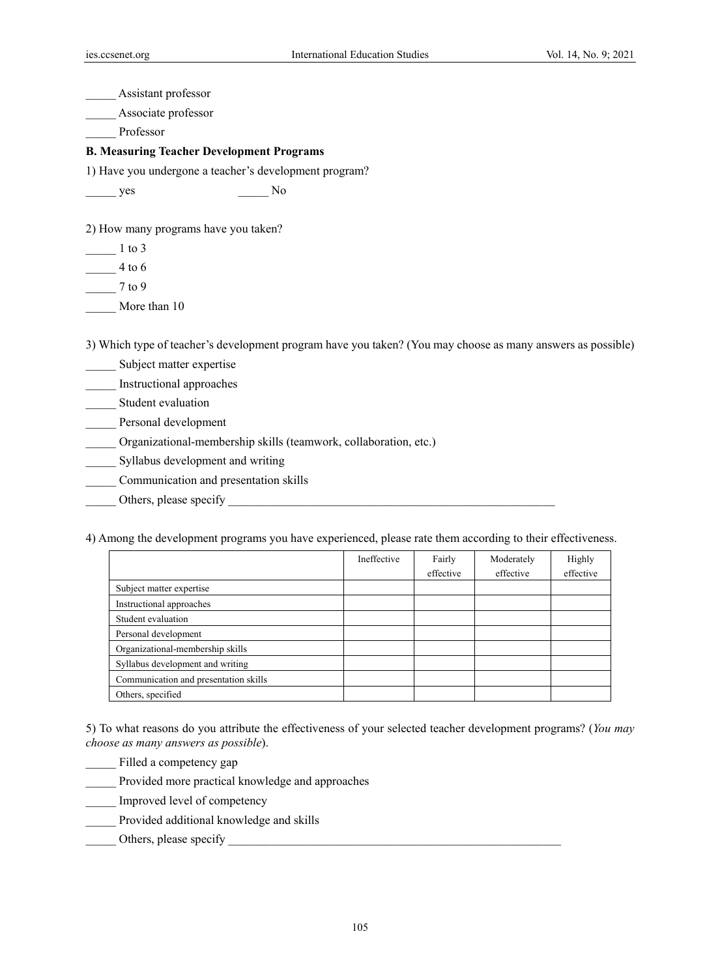\_\_\_\_\_ Assistant professor

\_\_\_\_\_ Associate professor

\_\_\_\_\_ Professor

## **B. Measuring Teacher Development Programs**

1) Have you undergone a teacher's development program?

\_\_\_\_\_ yes \_\_\_\_\_ No

2) How many programs have you taken?

\_\_\_\_\_ 1 to 3

 $\frac{4}{100}$  4 to 6

\_\_\_\_\_ 7 to 9

\_\_\_\_\_ More than 10

3) Which type of teacher's development program have you taken? (You may choose as many answers as possible)

Subject matter expertise

\_\_\_\_\_ Instructional approaches

Student evaluation

\_\_\_\_\_ Personal development

\_\_\_\_\_ Organizational-membership skills (teamwork, collaboration, etc.)

\_\_\_\_\_ Syllabus development and writing

\_\_\_\_\_ Communication and presentation skills

\_\_\_\_\_ Others, please specify \_\_\_\_\_\_\_\_\_\_\_\_\_\_\_\_\_\_\_\_\_\_\_\_\_\_\_\_\_\_\_\_\_\_\_\_\_\_\_\_\_\_\_\_\_\_\_\_\_\_\_\_\_\_

4) Among the development programs you have experienced, please rate them according to their effectiveness.

|                                       | Ineffective | Fairly    | Moderately | Highly    |
|---------------------------------------|-------------|-----------|------------|-----------|
|                                       |             | effective | effective  | effective |
| Subject matter expertise              |             |           |            |           |
| Instructional approaches              |             |           |            |           |
| Student evaluation                    |             |           |            |           |
| Personal development                  |             |           |            |           |
| Organizational-membership skills      |             |           |            |           |
| Syllabus development and writing      |             |           |            |           |
| Communication and presentation skills |             |           |            |           |
| Others, specified                     |             |           |            |           |

5) To what reasons do you attribute the effectiveness of your selected teacher development programs? (*You may choose as many answers as possible*).

\_\_\_\_\_ Filled a competency gap

\_\_\_\_\_ Provided more practical knowledge and approaches

\_\_\_\_\_ Improved level of competency

\_\_\_\_\_ Provided additional knowledge and skills

## \_\_\_\_\_ Others, please specify \_\_\_\_\_\_\_\_\_\_\_\_\_\_\_\_\_\_\_\_\_\_\_\_\_\_\_\_\_\_\_\_\_\_\_\_\_\_\_\_\_\_\_\_\_\_\_\_\_\_\_\_\_\_\_

105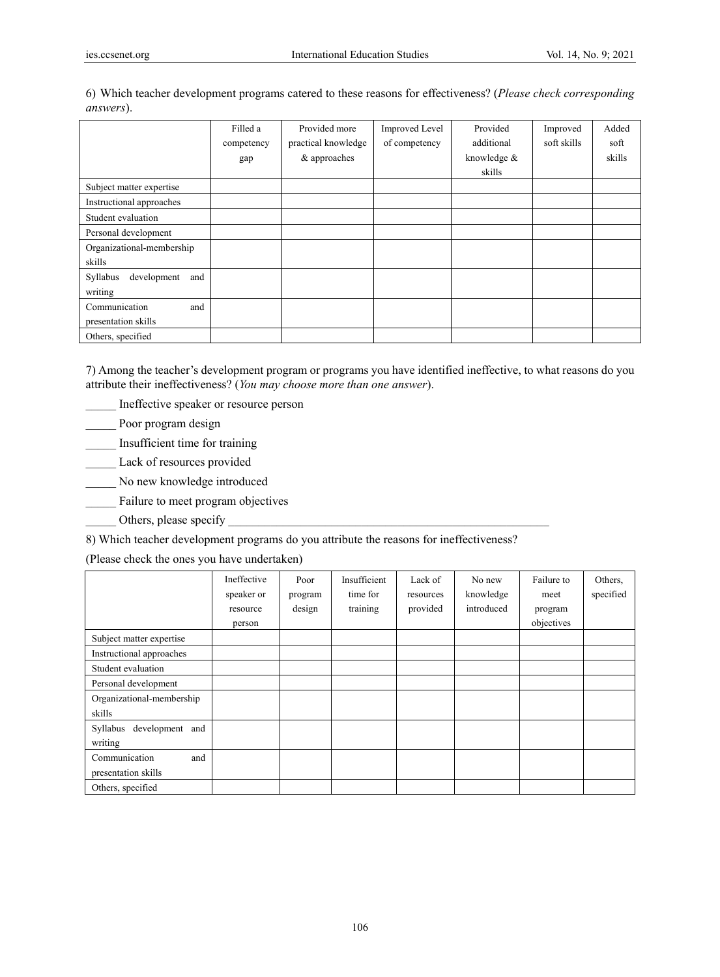|                                | Filled a   | Provided more       | <b>Improved Level</b> | Provided    | Improved    | Added  |
|--------------------------------|------------|---------------------|-----------------------|-------------|-------------|--------|
|                                | competency | practical knowledge | of competency         | additional  | soft skills | soft   |
|                                | gap        | & approaches        |                       | knowledge & |             | skills |
|                                |            |                     |                       | skills      |             |        |
| Subject matter expertise       |            |                     |                       |             |             |        |
| Instructional approaches       |            |                     |                       |             |             |        |
| Student evaluation             |            |                     |                       |             |             |        |
| Personal development           |            |                     |                       |             |             |        |
| Organizational-membership      |            |                     |                       |             |             |        |
| skills                         |            |                     |                       |             |             |        |
| development<br>Syllabus<br>and |            |                     |                       |             |             |        |
| writing                        |            |                     |                       |             |             |        |
| Communication<br>and           |            |                     |                       |             |             |        |
| presentation skills            |            |                     |                       |             |             |        |
| Others, specified              |            |                     |                       |             |             |        |

6) Which teacher development programs catered to these reasons for effectiveness? (*Please check corresponding answers*).

7) Among the teacher's development program or programs you have identified ineffective, to what reasons do you attribute their ineffectiveness? (*You may choose more than one answer*).

\_\_\_\_\_ Ineffective speaker or resource person

- \_\_\_\_\_ Poor program design
- \_\_\_\_\_ Insufficient time for training
- \_\_\_\_\_ Lack of resources provided
- \_\_\_\_\_ No new knowledge introduced
- \_\_\_\_\_ Failure to meet program objectives
- Others, please specify

8) Which teacher development programs do you attribute the reasons for ineffectiveness?

(Please check the ones you have undertaken)

|                             | Ineffective<br>speaker or | Poor<br>program | Insufficient<br>time for | Lack of<br>resources | No new<br>knowledge | Failure to<br>meet | Others.<br>specified |
|-----------------------------|---------------------------|-----------------|--------------------------|----------------------|---------------------|--------------------|----------------------|
|                             | resource                  | design          | training                 | provided             | introduced          | program            |                      |
|                             | person                    |                 |                          |                      |                     | objectives         |                      |
| Subject matter expertise    |                           |                 |                          |                      |                     |                    |                      |
| Instructional approaches    |                           |                 |                          |                      |                     |                    |                      |
| Student evaluation          |                           |                 |                          |                      |                     |                    |                      |
| Personal development        |                           |                 |                          |                      |                     |                    |                      |
| Organizational-membership   |                           |                 |                          |                      |                     |                    |                      |
| skills                      |                           |                 |                          |                      |                     |                    |                      |
| development and<br>Syllabus |                           |                 |                          |                      |                     |                    |                      |
| writing                     |                           |                 |                          |                      |                     |                    |                      |
| Communication<br>and        |                           |                 |                          |                      |                     |                    |                      |
| presentation skills         |                           |                 |                          |                      |                     |                    |                      |
| Others, specified           |                           |                 |                          |                      |                     |                    |                      |